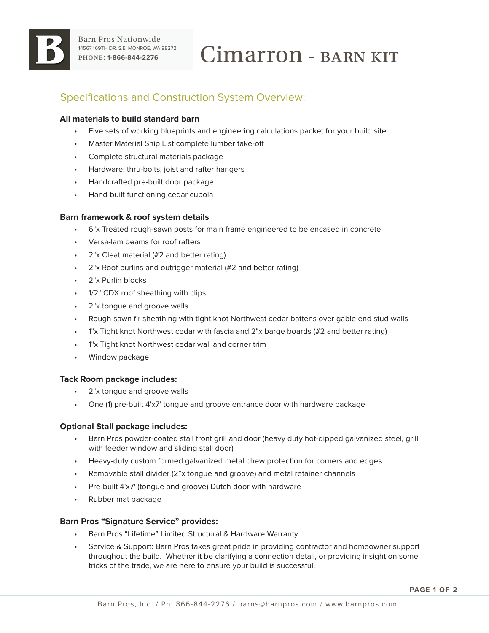

# Specifications and Construction System Overview:

## **All materials to build standard barn**

- Five sets of working blueprints and engineering calculations packet for your build site
- Master Material Ship List complete lumber take-off
- Complete structural materials package
- Hardware: thru-bolts, joist and rafter hangers
- Handcrafted pre-built door package
- Hand-built functioning cedar cupola

### **Barn framework & roof system details**

- 6"x Treated rough-sawn posts for main frame engineered to be encased in concrete
- Versa-lam beams for roof rafters
- 2"x Cleat material (#2 and better rating)
- 2"x Roof purlins and outrigger material (#2 and better rating)
- 2"x Purlin blocks
- 1/2" CDX roof sheathing with clips
- 2"x tongue and groove walls
- Rough-sawn fir sheathing with tight knot Northwest cedar battens over gable end stud walls
- 1"x Tight knot Northwest cedar with fascia and 2"x barge boards (#2 and better rating)
- 1"x Tight knot Northwest cedar wall and corner trim
- Window package

#### **Tack Room package includes:**

- 2"x tongue and groove walls
- One (1) pre-built 4'x7' tongue and groove entrance door with hardware package

#### **Optional Stall package includes:**

- Barn Pros powder-coated stall front grill and door (heavy duty hot-dipped galvanized steel, grill with feeder window and sliding stall door)
- Heavy-duty custom formed galvanized metal chew protection for corners and edges
- Removable stall divider (2"x tongue and groove) and metal retainer channels
- Pre-built 4'x7' (tongue and groove) Dutch door with hardware
- Rubber mat package

#### **Barn Pros "Signature Service" provides:**

- Barn Pros "Lifetime" Limited Structural & Hardware Warranty
- Service & Support: Barn Pros takes great pride in providing contractor and homeowner support throughout the build. Whether it be clarifying a connection detail, or providing insight on some tricks of the trade, we are here to ensure your build is successful.